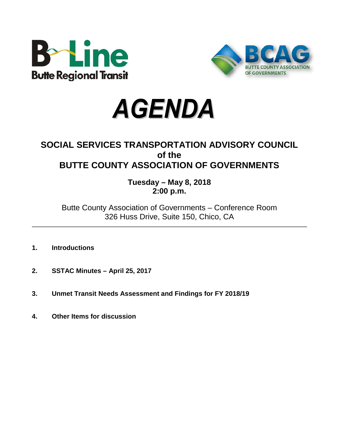





## **SOCIAL SERVICES TRANSPORTATION ADVISORY COUNCIL of the BUTTE COUNTY ASSOCIATION OF GOVERNMENTS**

## **Tuesday – May 8, 2018 2:00 p.m.**

Butte County Association of Governments – Conference Room 326 Huss Drive, Suite 150, Chico, CA

- **1. Introductions**
- **2. SSTAC Minutes – April 25, 2017**
- **3. Unmet Transit Needs Assessment and Findings for FY 2018/19**
- **4. Other Items for discussion**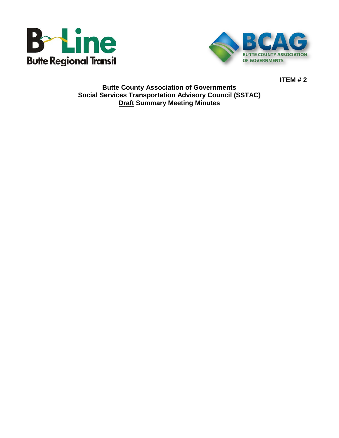



**ITEM # 2**

**Butte County Association of Governments Social Services Transportation Advisory Council (SSTAC) Draft Summary Meeting Minutes**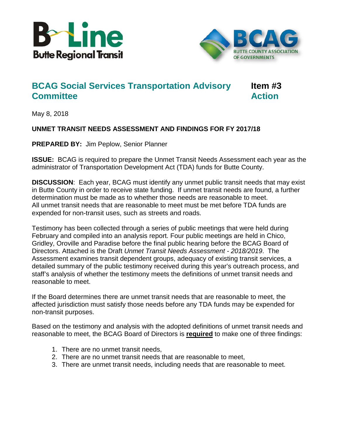



# **BCAG Social Services Transportation Advisory Item #3 Committee Action**

May 8, 2018

### **UNMET TRANSIT NEEDS ASSESSMENT AND FINDINGS FOR FY 2017/18**

**PREPARED BY:** Jim Peplow, Senior Planner

**ISSUE:** BCAG is required to prepare the Unmet Transit Needs Assessment each year as the administrator of Transportation Development Act (TDA) funds for Butte County.

**DISCUSSION**: Each year, BCAG must identify any unmet public transit needs that may exist in Butte County in order to receive state funding. If unmet transit needs are found, a further determination must be made as to whether those needs are reasonable to meet. All unmet transit needs that are reasonable to meet must be met before TDA funds are expended for non-transit uses, such as streets and roads.

Testimony has been collected through a series of public meetings that were held during February and compiled into an analysis report. Four public meetings are held in Chico, Gridley, Oroville and Paradise before the final public hearing before the BCAG Board of Directors. Attached is the Draft *Unmet Transit Needs Assessment - 2018/2019*. The Assessment examines transit dependent groups, adequacy of existing transit services, a detailed summary of the public testimony received during this year's outreach process, and staff's analysis of whether the testimony meets the definitions of unmet transit needs and reasonable to meet.

If the Board determines there are unmet transit needs that are reasonable to meet, the affected jurisdiction must satisfy those needs before any TDA funds may be expended for non-transit purposes.

Based on the testimony and analysis with the adopted definitions of unmet transit needs and reasonable to meet, the BCAG Board of Directors is **required** to make one of three findings:

- 1. There are no unmet transit needs,
- 2. There are no unmet transit needs that are reasonable to meet,
- 3. There are unmet transit needs, including needs that are reasonable to meet.